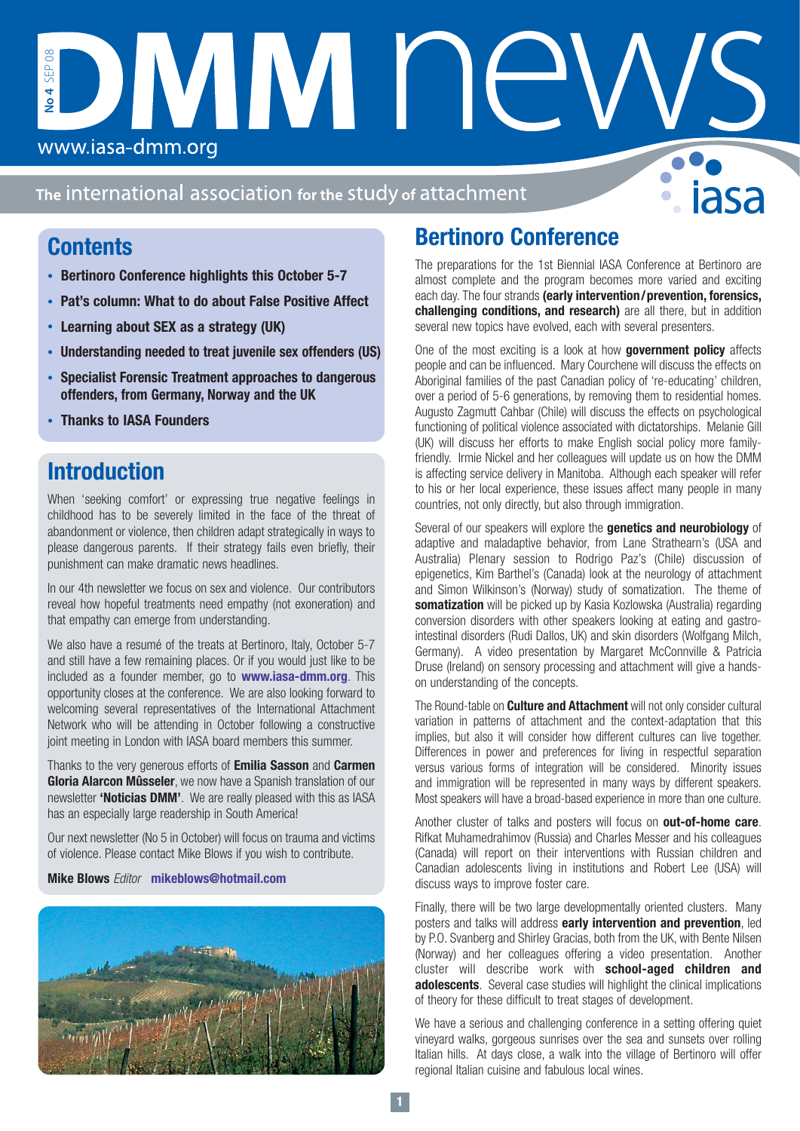The international association for the study of attachment

IMIM F

## **Contents**

www.iasa-dmm.org

**No 4** SEP 08

**No 4** 

SEP<sub>08</sub>

- **• Bertinoro Conference highlights this October 5-7**
- **• Pat's column: What to do about False Positive Affect**
- **• Learning about SEX as a strategy (UK)**
- **• Understanding needed to treat juvenile sex offenders (US)**
- **• Specialist Forensic Treatment approaches to dangerous offenders, from Germany, Norway and the UK**
- **• Thanks to IASA Founders**

# **Introduction**

When 'seeking comfort' or expressing true negative feelings in childhood has to be severely limited in the face of the threat of abandonment or violence, then children adapt strategically in ways to please dangerous parents. If their strategy fails even briefly, their punishment can make dramatic news headlines.

In our 4th newsletter we focus on sex and violence. Our contributors reveal how hopeful treatments need empathy (not exoneration) and that empathy can emerge from understanding.

We also have a resumé of the treats at Bertinoro, Italy, October 5-7 and still have a few remaining places. Or if you would just like to be included as a founder member, go to **www.iasa-dmm.org**. This opportunity closes at the conference. We are also looking forward to welcoming several representatives of the International Attachment Network who will be attending in October following a constructive joint meeting in London with IASA board members this summer.

Thanks to the very generous efforts of **Emilia Sasson** and **Carmen Gloria Alarcon Mûsseler**, we now have a Spanish translation of our newsletter **'Noticias DMM'**. We are really pleased with this as IASA has an especially large readership in South America!

Our next newsletter (No 5 in October) will focus on trauma and victims of violence. Please contact Mike Blows if you wish to contribute.

## **Mike Blows** Editor **mikeblows@hotmail.com**



# **Bertinoro Conference**

The preparations for the 1st Biennial IASA Conference at Bertinoro are almost complete and the program becomes more varied and exciting each day. The four strands **(early intervention/prevention, forensics, challenging conditions, and research)** are all there, but in addition several new topics have evolved, each with several presenters.

One of the most exciting is a look at how **government policy** affects people and can be influenced. Mary Courchene will discuss the effects on Aboriginal families of the past Canadian policy of 're-educating' children, over a period of 5-6 generations, by removing them to residential homes. Augusto Zagmutt Cahbar (Chile) will discuss the effects on psychological functioning of political violence associated with dictatorships. Melanie Gill (UK) will discuss her efforts to make English social policy more familyfriendly. Irmie Nickel and her colleagues will update us on how the DMM is affecting service delivery in Manitoba. Although each speaker will refer to his or her local experience, these issues affect many people in many countries, not only directly, but also through immigration.

Several of our speakers will explore the **genetics and neurobiology** of adaptive and maladaptive behavior, from Lane Strathearn's (USA and Australia) Plenary session to Rodrigo Paz's (Chile) discussion of epigenetics, Kim Barthel's (Canada) look at the neurology of attachment and Simon Wilkinson's (Norway) study of somatization. The theme of **somatization** will be picked up by Kasia Kozlowska (Australia) regarding conversion disorders with other speakers looking at eating and gastrointestinal disorders (Rudi Dallos, UK) and skin disorders (Wolfgang Milch, Germany). A video presentation by Margaret McConnville & Patricia Druse (Ireland) on sensory processing and attachment will give a handson understanding of the concepts.

The Round-table on **Culture and Attachment** will not only consider cultural variation in patterns of attachment and the context-adaptation that this implies, but also it will consider how different cultures can live together. Differences in power and preferences for living in respectful separation versus various forms of integration will be considered. Minority issues and immigration will be represented in many ways by different speakers. Most speakers will have a broad-based experience in more than one culture.

Another cluster of talks and posters will focus on **out-of-home care**. Rifkat Muhamedrahimov (Russia) and Charles Messer and his colleagues (Canada) will report on their interventions with Russian children and Canadian adolescents living in institutions and Robert Lee (USA) will discuss ways to improve foster care.

Finally, there will be two large developmentally oriented clusters. Many posters and talks will address **early intervention and prevention**, led by P.O. Svanberg and Shirley Gracias, both from the UK, with Bente Nilsen (Norway) and her colleagues offering a video presentation. Another cluster will describe work with **school-aged children and adolescents**. Several case studies will highlight the clinical implications of theory for these difficult to treat stages of development.

We have a serious and challenging conference in a setting offering quiet vineyard walks, gorgeous sunrises over the sea and sunsets over rolling Italian hills. At days close, a walk into the village of Bertinoro will offer regional Italian cuisine and fabulous local wines.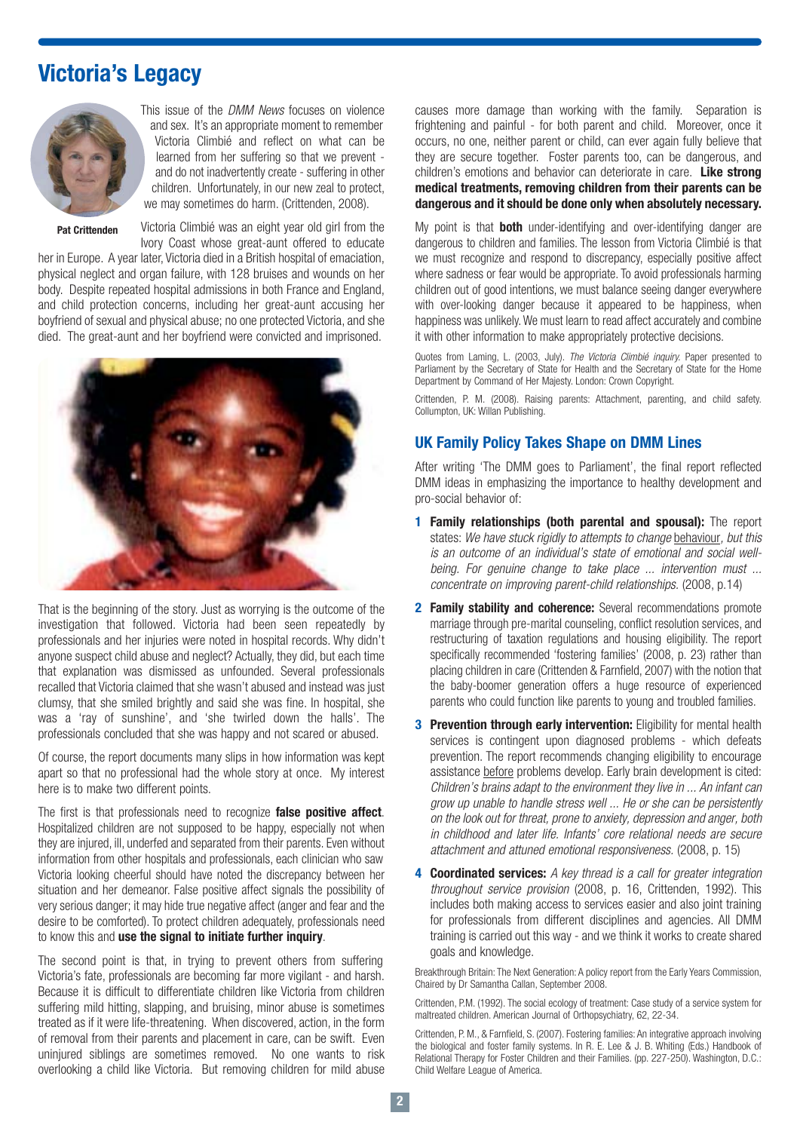# **Victoria's Legacy**



This issue of the DMM News focuses on violence and sex. It's an appropriate moment to remember Victoria Climbié and reflect on what can be learned from her suffering so that we prevent and do not inadvertently create - suffering in other children. Unfortunately, in our new zeal to protect, we may sometimes do harm. (Crittenden, 2008).

**Pat Crittenden**

Victoria Climbié was an eight year old girl from the Ivory Coast whose great-aunt offered to educate

her in Europe. A year later, Victoria died in a British hospital of emaciation, physical neglect and organ failure, with 128 bruises and wounds on her body. Despite repeated hospital admissions in both France and England, and child protection concerns, including her great-aunt accusing her boyfriend of sexual and physical abuse; no one protected Victoria, and she died. The great-aunt and her boyfriend were convicted and imprisoned.



That is the beginning of the story. Just as worrying is the outcome of the investigation that followed. Victoria had been seen repeatedly by professionals and her injuries were noted in hospital records. Why didn't anyone suspect child abuse and neglect? Actually, they did, but each time that explanation was dismissed as unfounded. Several professionals recalled that Victoria claimed that she wasn't abused and instead was just clumsy, that she smiled brightly and said she was fine. In hospital, she was a 'ray of sunshine', and 'she twirled down the halls'. The professionals concluded that she was happy and not scared or abused.

Of course, the report documents many slips in how information was kept apart so that no professional had the whole story at once. My interest here is to make two different points.

The first is that professionals need to recognize **false positive affect**. Hospitalized children are not supposed to be happy, especially not when they are injured, ill, underfed and separated from their parents. Even without information from other hospitals and professionals, each clinician who saw Victoria looking cheerful should have noted the discrepancy between her situation and her demeanor. False positive affect signals the possibility of very serious danger; it may hide true negative affect (anger and fear and the desire to be comforted). To protect children adequately, professionals need to know this and **use the signal to initiate further inquiry**.

The second point is that, in trying to prevent others from suffering Victoria's fate, professionals are becoming far more vigilant - and harsh. Because it is difficult to differentiate children like Victoria from children suffering mild hitting, slapping, and bruising, minor abuse is sometimes treated as if it were life-threatening. When discovered, action, in the form of removal from their parents and placement in care, can be swift. Even uninjured siblings are sometimes removed. No one wants to risk overlooking a child like Victoria. But removing children for mild abuse causes more damage than working with the family. Separation is frightening and painful - for both parent and child. Moreover, once it occurs, no one, neither parent or child, can ever again fully believe that they are secure together. Foster parents too, can be dangerous, and children's emotions and behavior can deteriorate in care. **Like strong medical treatments, removing children from their parents can be dangerous and it should be done only when absolutely necessary.**

My point is that **both** under-identifying and over-identifying danger are dangerous to children and families. The lesson from Victoria Climbié is that we must recognize and respond to discrepancy, especially positive affect where sadness or fear would be appropriate. To avoid professionals harming children out of good intentions, we must balance seeing danger everywhere with over-looking danger because it appeared to be happiness, when happiness was unlikely. We must learn to read affect accurately and combine it with other information to make appropriately protective decisions.

Quotes from Laming, L. (2003, July). The Victoria Climbié inquiry. Paper presented to Parliament by the Secretary of State for Health and the Secretary of State for the Home Department by Command of Her Majesty. London: Crown Copyright.

Crittenden, P. M. (2008). Raising parents: Attachment, parenting, and child safety. Collumpton, UK: Willan Publishing.

## **UK Family Policy Takes Shape on DMM Lines**

After writing 'The DMM goes to Parliament', the final report reflected DMM ideas in emphasizing the importance to healthy development and pro-social behavior of:

- **1 Family relationships (both parental and spousal):** The report states: We have stuck rigidly to attempts to change behaviour, but this is an outcome of an individual's state of emotional and social wellbeing. For genuine change to take place ... intervention must ... concentrate on improving parent-child relationships. (2008, p.14)
- **2 Family stability and coherence:** Several recommendations promote marriage through pre-marital counseling, conflict resolution services, and restructuring of taxation regulations and housing eligibility. The report specifically recommended 'fostering families' (2008, p. 23) rather than placing children in care (Crittenden & Farnfield, 2007) with the notion that the baby-boomer generation offers a huge resource of experienced parents who could function like parents to young and troubled families.
- **3 Prevention through early intervention:** Eligibility for mental health services is contingent upon diagnosed problems - which defeats prevention. The report recommends changing eligibility to encourage assistance before problems develop. Early brain development is cited: Children's brains adapt to the environment they live in ... An infant can grow up unable to handle stress well ... He or she can be persistently on the look out for threat, prone to anxiety, depression and anger, both in childhood and later life. Infants' core relational needs are secure attachment and attuned emotional responsiveness. (2008, p. 15)
- **4 Coordinated services:** A key thread is a call for greater integration throughout service provision (2008, p. 16, Crittenden, 1992). This includes both making access to services easier and also joint training for professionals from different disciplines and agencies. All DMM training is carried out this way - and we think it works to create shared goals and knowledge.

Breakthrough Britain: The Next Generation: A policy report from the Early Years Commission, Chaired by Dr Samantha Callan, September 2008.

Crittenden, P.M. (1992). The social ecology of treatment: Case study of a service system for maltreated children. American Journal of Orthopsychiatry, 62, 22-34.

Crittenden, P. M., & Farnfield, S. (2007). Fostering families: An integrative approach involving the biological and foster family systems. In R. E. Lee & J. B. Whiting (Eds.) Handbook of Relational Therapy for Foster Children and their Families. (pp. 227-250). Washington, D.C.: Child Welfare League of America.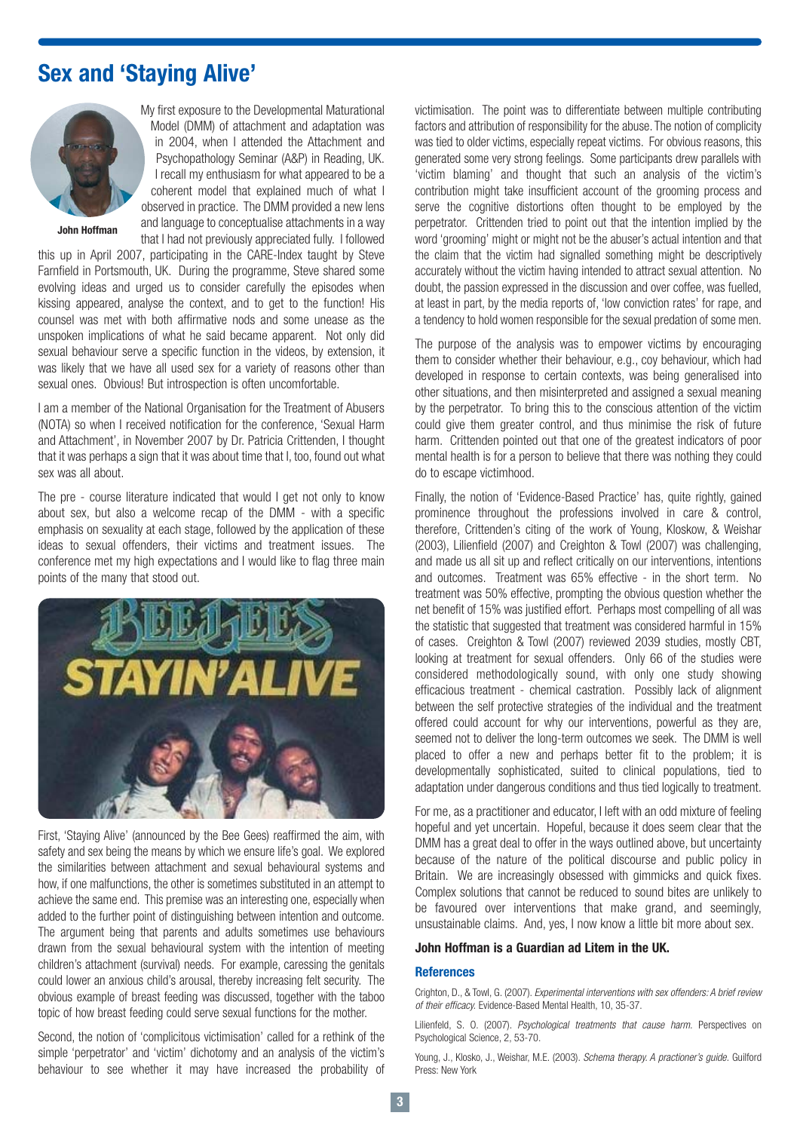## **Sex and 'Staying Alive'**



My first exposure to the Developmental Maturational Model (DMM) of attachment and adaptation was in 2004, when I attended the Attachment and Psychopathology Seminar (A&P) in Reading, UK. I recall my enthusiasm for what appeared to be a coherent model that explained much of what I observed in practice. The DMM provided a new lens and language to conceptualise attachments in a way that I had not previously appreciated fully. I followed

**John Hoffman** 

this up in April 2007, participating in the CARE-Index taught by Steve Farnfield in Portsmouth, UK. During the programme, Steve shared some evolving ideas and urged us to consider carefully the episodes when kissing appeared, analyse the context, and to get to the function! His counsel was met with both affirmative nods and some unease as the unspoken implications of what he said became apparent. Not only did sexual behaviour serve a specific function in the videos, by extension, it was likely that we have all used sex for a variety of reasons other than sexual ones. Obvious! But introspection is often uncomfortable.

I am a member of the National Organisation for the Treatment of Abusers (NOTA) so when I received notification for the conference, 'Sexual Harm and Attachment', in November 2007 by Dr. Patricia Crittenden, I thought that it was perhaps a sign that it was about time that I, too, found out what sex was all about.

The pre - course literature indicated that would I get not only to know about sex, but also a welcome recap of the DMM - with a specific emphasis on sexuality at each stage, followed by the application of these ideas to sexual offenders, their victims and treatment issues. The conference met my high expectations and I would like to flag three main points of the many that stood out.



First, 'Staying Alive' (announced by the Bee Gees) reaffirmed the aim, with safety and sex being the means by which we ensure life's goal. We explored the similarities between attachment and sexual behavioural systems and how, if one malfunctions, the other is sometimes substituted in an attempt to achieve the same end. This premise was an interesting one, especially when added to the further point of distinguishing between intention and outcome. The argument being that parents and adults sometimes use behaviours drawn from the sexual behavioural system with the intention of meeting children's attachment (survival) needs. For example, caressing the genitals could lower an anxious child's arousal, thereby increasing felt security. The obvious example of breast feeding was discussed, together with the taboo topic of how breast feeding could serve sexual functions for the mother.

Second, the notion of 'complicitous victimisation' called for a rethink of the simple 'perpetrator' and 'victim' dichotomy and an analysis of the victim's behaviour to see whether it may have increased the probability of victimisation. The point was to differentiate between multiple contributing factors and attribution of responsibility for the abuse. The notion of complicity was tied to older victims, especially repeat victims. For obvious reasons, this generated some very strong feelings. Some participants drew parallels with 'victim blaming' and thought that such an analysis of the victim's contribution might take insufficient account of the grooming process and serve the cognitive distortions often thought to be employed by the perpetrator. Crittenden tried to point out that the intention implied by the word 'grooming' might or might not be the abuser's actual intention and that the claim that the victim had signalled something might be descriptively accurately without the victim having intended to attract sexual attention. No doubt, the passion expressed in the discussion and over coffee, was fuelled, at least in part, by the media reports of, 'low conviction rates' for rape, and a tendency to hold women responsible for the sexual predation of some men.

The purpose of the analysis was to empower victims by encouraging them to consider whether their behaviour, e.g., coy behaviour, which had developed in response to certain contexts, was being generalised into other situations, and then misinterpreted and assigned a sexual meaning by the perpetrator. To bring this to the conscious attention of the victim could give them greater control, and thus minimise the risk of future harm. Crittenden pointed out that one of the greatest indicators of poor mental health is for a person to believe that there was nothing they could do to escape victimhood.

Finally, the notion of 'Evidence-Based Practice' has, quite rightly, gained prominence throughout the professions involved in care & control, therefore, Crittenden's citing of the work of Young, Kloskow, & Weishar (2003), Lilienfield (2007) and Creighton & Towl (2007) was challenging, and made us all sit up and reflect critically on our interventions, intentions and outcomes. Treatment was 65% effective - in the short term. No treatment was 50% effective, prompting the obvious question whether the net benefit of 15% was justified effort. Perhaps most compelling of all was the statistic that suggested that treatment was considered harmful in 15% of cases. Creighton & Towl (2007) reviewed 2039 studies, mostly CBT, looking at treatment for sexual offenders. Only 66 of the studies were considered methodologically sound, with only one study showing efficacious treatment - chemical castration. Possibly lack of alignment between the self protective strategies of the individual and the treatment offered could account for why our interventions, powerful as they are, seemed not to deliver the long-term outcomes we seek. The DMM is well placed to offer a new and perhaps better fit to the problem; it is developmentally sophisticated, suited to clinical populations, tied to adaptation under dangerous conditions and thus tied logically to treatment.

For me, as a practitioner and educator, I left with an odd mixture of feeling hopeful and yet uncertain. Hopeful, because it does seem clear that the DMM has a great deal to offer in the ways outlined above, but uncertainty because of the nature of the political discourse and public policy in Britain. We are increasingly obsessed with gimmicks and quick fixes. Complex solutions that cannot be reduced to sound bites are unlikely to be favoured over interventions that make grand, and seemingly, unsustainable claims. And, yes, I now know a little bit more about sex.

## **John Hoffman is a Guardian ad Litem in the UK.**

#### **References**

Crighton, D., & Towl, G. (2007). Experimental interventions with sex offenders: A brief review of their efficacy. Evidence-Based Mental Health, 10, 35-37.

Lilienfeld, S. O. (2007). Psychological treatments that cause harm. Perspectives on Psychological Science, 2, 53-70.

Young, J., Klosko, J., Weishar, M.E. (2003). Schema therapy. A practioner's guide. Guilford Press: New York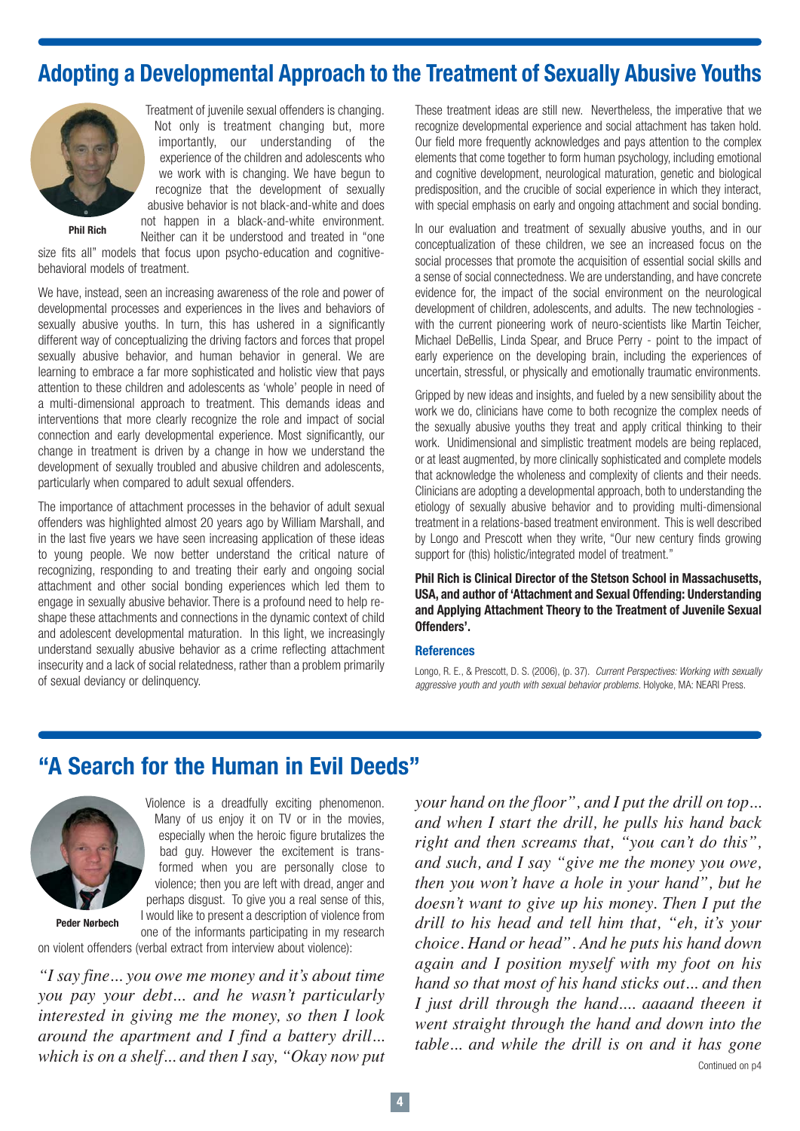# **Adopting a Developmental Approach to the Treatment of Sexually Abusive Youths**



Treatment of juvenile sexual offenders is changing. Not only is treatment changing but, more importantly, our understanding of the experience of the children and adolescents who we work with is changing. We have begun to recognize that the development of sexually abusive behavior is not black-and-white and does not happen in a black-and-white environment. Neither can it be understood and treated in "one

**Phil Rich**

size fits all" models that focus upon psycho-education and cognitivebehavioral models of treatment.

We have, instead, seen an increasing awareness of the role and power of developmental processes and experiences in the lives and behaviors of sexually abusive youths. In turn, this has ushered in a significantly different way of conceptualizing the driving factors and forces that propel sexually abusive behavior, and human behavior in general. We are learning to embrace a far more sophisticated and holistic view that pays attention to these children and adolescents as 'whole' people in need of a multi-dimensional approach to treatment. This demands ideas and interventions that more clearly recognize the role and impact of social connection and early developmental experience. Most significantly, our change in treatment is driven by a change in how we understand the development of sexually troubled and abusive children and adolescents, particularly when compared to adult sexual offenders.

The importance of attachment processes in the behavior of adult sexual offenders was highlighted almost 20 years ago by William Marshall, and in the last five years we have seen increasing application of these ideas to young people. We now better understand the critical nature of recognizing, responding to and treating their early and ongoing social attachment and other social bonding experiences which led them to engage in sexually abusive behavior. There is a profound need to help reshape these attachments and connections in the dynamic context of child and adolescent developmental maturation. In this light, we increasingly understand sexually abusive behavior as a crime reflecting attachment insecurity and a lack of social relatedness, rather than a problem primarily of sexual deviancy or delinquency.

These treatment ideas are still new. Nevertheless, the imperative that we recognize developmental experience and social attachment has taken hold. Our field more frequently acknowledges and pays attention to the complex elements that come together to form human psychology, including emotional and cognitive development, neurological maturation, genetic and biological predisposition, and the crucible of social experience in which they interact, with special emphasis on early and ongoing attachment and social bonding.

In our evaluation and treatment of sexually abusive youths, and in our conceptualization of these children, we see an increased focus on the social processes that promote the acquisition of essential social skills and a sense of social connectedness. We are understanding, and have concrete evidence for, the impact of the social environment on the neurological development of children, adolescents, and adults. The new technologies with the current pioneering work of neuro-scientists like Martin Teicher, Michael DeBellis, Linda Spear, and Bruce Perry - point to the impact of early experience on the developing brain, including the experiences of uncertain, stressful, or physically and emotionally traumatic environments.

Gripped by new ideas and insights, and fueled by a new sensibility about the work we do, clinicians have come to both recognize the complex needs of the sexually abusive youths they treat and apply critical thinking to their work. Unidimensional and simplistic treatment models are being replaced, or at least augmented, by more clinically sophisticated and complete models that acknowledge the wholeness and complexity of clients and their needs. Clinicians are adopting a developmental approach, both to understanding the etiology of sexually abusive behavior and to providing multi-dimensional treatment in a relations-based treatment environment. This is well described by Longo and Prescott when they write, "Our new century finds growing support for (this) holistic/integrated model of treatment."

**Phil Rich is Clinical Director of the Stetson School in Massachusetts, USA, and author of 'Attachment and Sexual Offending: Understanding and Applying Attachment Theory to the Treatment of Juvenile Sexual Offenders'.**

#### **References**

Longo, R. E., & Prescott, D. S. (2006), (p. 37). Current Perspectives: Working with sexually aggressive youth and youth with sexual behavior problems. Holyoke, MA: NEARI Press.

## **"A Search for the Human in Evil Deeds"**



Violence is a dreadfully exciting phenomenon. Many of us enjoy it on TV or in the movies, especially when the heroic figure brutalizes the bad guy. However the excitement is transformed when you are personally close to violence; then you are left with dread, anger and perhaps disgust. To give you a real sense of this, I would like to present a description of violence from one of the informants participating in my research

**Peder Nørbech**

on violent offenders (verbal extract from interview about violence):

*"I say fine... you owe me money and it's about time you pay your debt... and he wasn't particularly interested in giving me the money, so then I look around the apartment and I find a battery drill... which is on a shelf... and then I say, "Okay now put* *your hand on the floor", and I put the drill on top... and when I start the drill, he pulls his hand back right and then screams that, "you can't do this", and such, and I say "give me the money you owe, then you won't have a hole in your hand", but he doesn't want to give up his money. Then I put the drill to his head and tell him that, "eh, it's your choice. Hand or head". And he puts his hand down again and I position myself with my foot on his hand so that most of his hand sticks out... and then I just drill through the hand.... aaaand theeen it went straight through the hand and down into the table... and while the drill is on and it has gone*  Continued on p4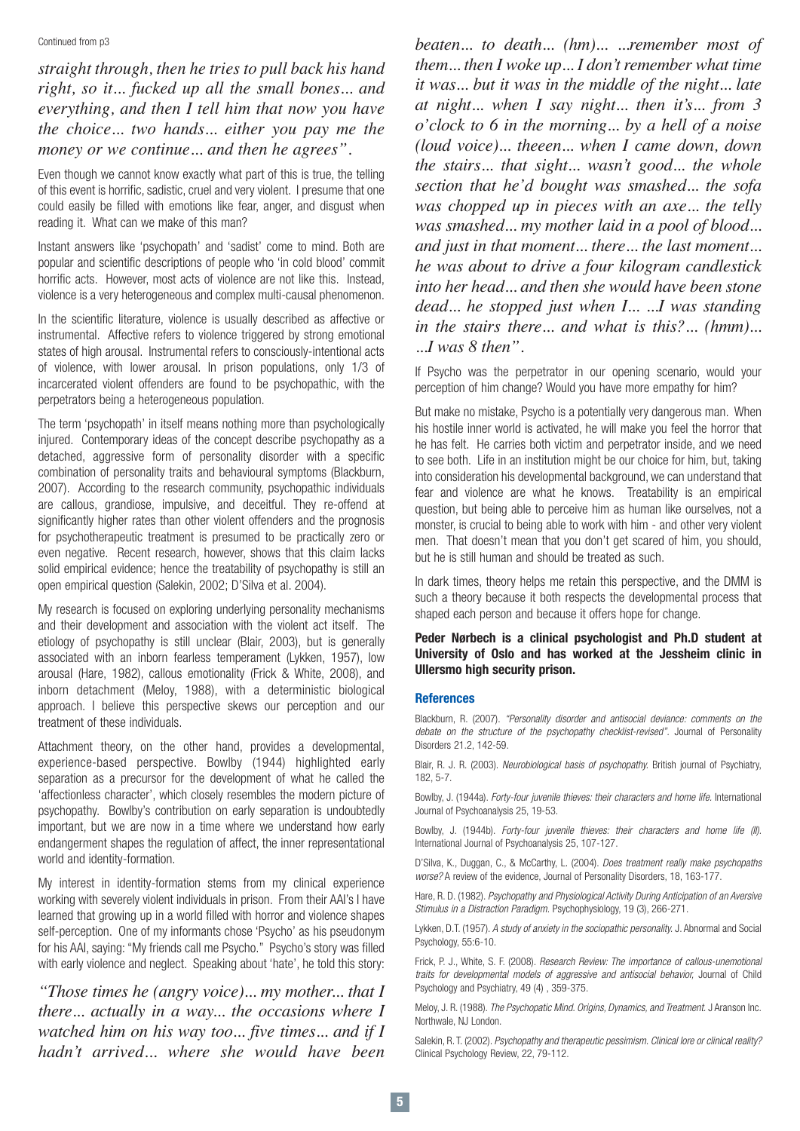Continued from p3

*straight through, then he tries to pull back his hand right, so it... fucked up all the small bones... and everything, and then I tell him that now you have the choice... two hands... either you pay me the money or we continue... and then he agrees".*

Even though we cannot know exactly what part of this is true, the telling of this event is horrific, sadistic, cruel and very violent. I presume that one could easily be filled with emotions like fear, anger, and disgust when reading it. What can we make of this man?

Instant answers like 'psychopath' and 'sadist' come to mind. Both are popular and scientific descriptions of people who 'in cold blood' commit horrific acts. However, most acts of violence are not like this. Instead, violence is a very heterogeneous and complex multi-causal phenomenon.

In the scientific literature, violence is usually described as affective or instrumental. Affective refers to violence triggered by strong emotional states of high arousal. Instrumental refers to consciously-intentional acts of violence, with lower arousal. In prison populations, only 1/3 of incarcerated violent offenders are found to be psychopathic, with the perpetrators being a heterogeneous population.

The term 'psychopath' in itself means nothing more than psychologically injured. Contemporary ideas of the concept describe psychopathy as a detached, aggressive form of personality disorder with a specific combination of personality traits and behavioural symptoms (Blackburn, 2007). According to the research community, psychopathic individuals are callous, grandiose, impulsive, and deceitful. They re-offend at significantly higher rates than other violent offenders and the prognosis for psychotherapeutic treatment is presumed to be practically zero or even negative. Recent research, however, shows that this claim lacks solid empirical evidence; hence the treatability of psychopathy is still an open empirical question (Salekin, 2002; D'Silva et al. 2004).

My research is focused on exploring underlying personality mechanisms and their development and association with the violent act itself. The etiology of psychopathy is still unclear (Blair, 2003), but is generally associated with an inborn fearless temperament (Lykken, 1957), low arousal (Hare, 1982), callous emotionality (Frick & White, 2008), and inborn detachment (Meloy, 1988), with a deterministic biological approach. I believe this perspective skews our perception and our treatment of these individuals.

Attachment theory, on the other hand, provides a developmental, experience-based perspective. Bowlby (1944) highlighted early separation as a precursor for the development of what he called the 'affectionless character', which closely resembles the modern picture of psychopathy. Bowlby's contribution on early separation is undoubtedly important, but we are now in a time where we understand how early endangerment shapes the regulation of affect, the inner representational world and identity-formation.

My interest in identity-formation stems from my clinical experience working with severely violent individuals in prison. From their AAI's I have learned that growing up in a world filled with horror and violence shapes self-perception. One of my informants chose 'Psycho' as his pseudonym for his AAI, saying: "My friends call me Psycho." Psycho's story was filled with early violence and neglect. Speaking about 'hate', he told this story:

*"Those times he (angry voice)... my mother... that I there... actually in a way... the occasions where I watched him on his way too... five times... and if I hadn't arrived... where she would have been*

*beaten... to death... (hm)... ...remember most of them... then I woke up... I don't remember what time it was... but it was in the middle of the night... late at night... when I say night... then it's... from 3 o'clock to 6 in the morning... by a hell of a noise (loud voice)... theeen... when I came down, down the stairs... that sight... wasn't good... the whole section that he'd bought was smashed... the sofa was chopped up in pieces with an axe... the telly was smashed... my mother laid in a pool of blood... and just in that moment... there... the last moment... he was about to drive a four kilogram candlestick into her head... and then she would have been stone dead... he stopped just when I... ...I was standing in the stairs there... and what is this?... (hmm)... ...I was 8 then".*

If Psycho was the perpetrator in our opening scenario, would your perception of him change? Would you have more empathy for him?

But make no mistake, Psycho is a potentially very dangerous man. When his hostile inner world is activated, he will make you feel the horror that he has felt. He carries both victim and perpetrator inside, and we need to see both. Life in an institution might be our choice for him, but, taking into consideration his developmental background, we can understand that fear and violence are what he knows. Treatability is an empirical question, but being able to perceive him as human like ourselves, not a monster, is crucial to being able to work with him - and other very violent men. That doesn't mean that you don't get scared of him, you should, but he is still human and should be treated as such.

In dark times, theory helps me retain this perspective, and the DMM is such a theory because it both respects the developmental process that shaped each person and because it offers hope for change.

**Peder Nørbech is a clinical psychologist and Ph.D student at University of Oslo and has worked at the Jessheim clinic in Ullersmo high security prison.** 

#### **References**

Blackburn, R. (2007). "Personality disorder and antisocial deviance: comments on the debate on the structure of the psychopathy checklist-revised". Journal of Personality Disorders 21.2, 142-59.

Blair, R. J. R. (2003). Neurobiological basis of psychopathy. British journal of Psychiatry, 182, 5-7.

Bowlby, J. (1944a). Forty-four juvenile thieves: their characters and home life. International Journal of Psychoanalysis 25, 19-53.

Bowlby, J. (1944b). Forty-four juvenile thieves: their characters and home life (II). International Journal of Psychoanalysis 25, 107-127.

D'Silva, K., Duggan, C., & McCarthy, L. (2004). *Does treatment really make psychopaths* worse? A review of the evidence, Journal of Personality Disorders, 18, 163-177.

Hare, R. D. (1982). Psychopathy and Physiological Activity During Anticipation of an Aversive Stimulus in a Distraction Paradigm. Psychophysiology, 19 (3), 266-271.

Lykken, D.T. (1957). A study of anxiety in the sociopathic personality. J. Abnormal and Social Psychology, 55:6-10.

Frick, P. J., White, S. F. (2008). Research Review: The importance of callous-unemotional traits for developmental models of aggressive and antisocial behavior, Journal of Child Psychology and Psychiatry, 49 (4) , 359-375.

Meloy, J. R. (1988). The Psychopatic Mind. Origins, Dynamics, and Treatment. J Aranson Inc. Northwale, NJ London.

Salekin, R. T. (2002). Psychopathy and therapeutic pessimism. Clinical lore or clinical reality? Clinical Psychology Review, 22, 79-112.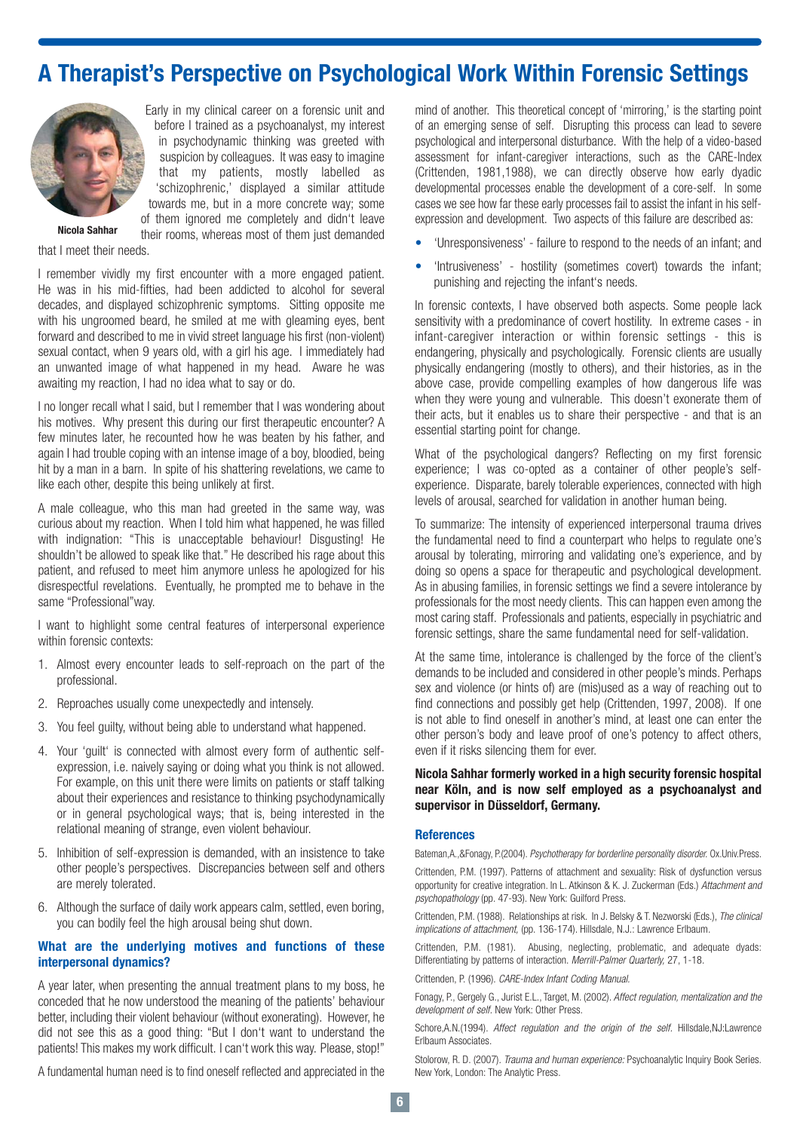# **A Therapist's Perspective on Psychological Work Within Forensic Settings**



Early in my clinical career on a forensic unit and before I trained as a psychoanalyst, my interest in psychodynamic thinking was greeted with suspicion by colleagues. It was easy to imagine that my patients, mostly labelled as 'schizophrenic,' displayed a similar attitude towards me, but in a more concrete way; some of them ignored me completely and didn't leave

their rooms, whereas most of them just demanded

**Nicola Sahhar**

that I meet their needs.

I remember vividly my first encounter with a more engaged patient. He was in his mid-fifties, had been addicted to alcohol for several decades, and displayed schizophrenic symptoms. Sitting opposite me with his ungroomed beard, he smiled at me with gleaming eyes, bent forward and described to me in vivid street language his first (non-violent) sexual contact, when 9 years old, with a girl his age. I immediately had an unwanted image of what happened in my head. Aware he was awaiting my reaction, I had no idea what to say or do.

I no longer recall what I said, but I remember that I was wondering about his motives. Why present this during our first therapeutic encounter? A few minutes later, he recounted how he was beaten by his father, and again I had trouble coping with an intense image of a boy, bloodied, being hit by a man in a barn. In spite of his shattering revelations, we came to like each other, despite this being unlikely at first.

A male colleague, who this man had greeted in the same way, was curious about my reaction. When I told him what happened, he was filled with indignation: "This is unacceptable behaviour! Disgusting! He shouldn't be allowed to speak like that." He described his rage about this patient, and refused to meet him anymore unless he apologized for his disrespectful revelations. Eventually, he prompted me to behave in the same "Professional"way.

I want to highlight some central features of interpersonal experience within forensic contexts:

- 1. Almost every encounter leads to self-reproach on the part of the professional.
- 2. Reproaches usually come unexpectedly and intensely.
- 3. You feel guilty, without being able to understand what happened.
- 4. Your 'guilt' is connected with almost every form of authentic selfexpression, i.e. naively saying or doing what you think is not allowed. For example, on this unit there were limits on patients or staff talking about their experiences and resistance to thinking psychodynamically or in general psychological ways; that is, being interested in the relational meaning of strange, even violent behaviour.
- 5. Inhibition of self-expression is demanded, with an insistence to take other people's perspectives. Discrepancies between self and others are merely tolerated.
- 6. Although the surface of daily work appears calm, settled, even boring, you can bodily feel the high arousal being shut down.

## **What are the underlying motives and functions of these interpersonal dynamics?**

A year later, when presenting the annual treatment plans to my boss, he conceded that he now understood the meaning of the patients' behaviour better, including their violent behaviour (without exonerating). However, he did not see this as a good thing: "But I don't want to understand the patients! This makes my work difficult. I can't work this way. Please, stop!"

A fundamental human need is to find oneself reflected and appreciated in the

mind of another. This theoretical concept of 'mirroring,' is the starting point of an emerging sense of self. Disrupting this process can lead to severe psychological and interpersonal disturbance. With the help of a video-based assessment for infant-caregiver interactions, such as the CARE-Index (Crittenden, 1981,1988), we can directly observe how early dyadic developmental processes enable the development of a core-self. In some cases we see how far these early processes fail to assist the infant in his selfexpression and development. Two aspects of this failure are described as:

- 'Unresponsiveness' failure to respond to the needs of an infant; and
- 'Intrusiveness' hostility (sometimes covert) towards the infant; punishing and rejecting the infant's needs.

In forensic contexts, I have observed both aspects. Some people lack sensitivity with a predominance of covert hostility. In extreme cases - in infant-caregiver interaction or within forensic settings - this is endangering, physically and psychologically. Forensic clients are usually physically endangering (mostly to others), and their histories, as in the above case, provide compelling examples of how dangerous life was when they were young and vulnerable. This doesn't exonerate them of their acts, but it enables us to share their perspective - and that is an essential starting point for change.

What of the psychological dangers? Reflecting on my first forensic experience; I was co-opted as a container of other people's selfexperience. Disparate, barely tolerable experiences, connected with high levels of arousal, searched for validation in another human being.

To summarize: The intensity of experienced interpersonal trauma drives the fundamental need to find a counterpart who helps to regulate one's arousal by tolerating, mirroring and validating one's experience, and by doing so opens a space for therapeutic and psychological development. As in abusing families, in forensic settings we find a severe intolerance by professionals for the most needy clients. This can happen even among the most caring staff. Professionals and patients, especially in psychiatric and forensic settings, share the same fundamental need for self-validation.

At the same time, intolerance is challenged by the force of the client's demands to be included and considered in other people's minds. Perhaps sex and violence (or hints of) are (mis)used as a way of reaching out to find connections and possibly get help (Crittenden, 1997, 2008). If one is not able to find oneself in another's mind, at least one can enter the other person's body and leave proof of one's potency to affect others, even if it risks silencing them for ever.

### **Nicola Sahhar formerly worked in a high security forensic hospital near Köln, and is now self employed as a psychoanalyst and supervisor in Düsseldorf, Germany.**

#### **References**

Bateman,A.,&Fonagy, P.(2004). Psychotherapy for borderline personality disorder. Ox.Univ.Press.

Crittenden, P.M. (1997). Patterns of attachment and sexuality: Risk of dysfunction versus opportunity for creative integration. In L. Atkinson & K. J. Zuckerman (Eds.) Attachment and psychopathology (pp. 47-93). New York: Guilford Press.

Crittenden, P.M. (1988). Relationships at risk. In J. Belsky & T. Nezworski (Eds.), The clinical implications of attachment, (pp. 136-174). Hillsdale, N.J.: Lawrence Erlbaum.

Crittenden, P.M. (1981). Abusing, neglecting, problematic, and adequate dyads: Differentiating by patterns of interaction. Merrill-Palmer Quarterly, 27, 1-18.

Crittenden, P. (1996). CARE-Index Infant Coding Manual.

Fonagy, P., Gergely G., Jurist E.L., Target, M. (2002). Affect regulation, mentalization and the development of self. New York: Other Press.

Schore,A.N.(1994). Affect regulation and the origin of the self. Hillsdale,NJ:Lawrence Erlbaum Associates.

Stolorow, R. D. (2007). Trauma and human experience: Psychoanalytic Inquiry Book Series. New York, London: The Analytic Press.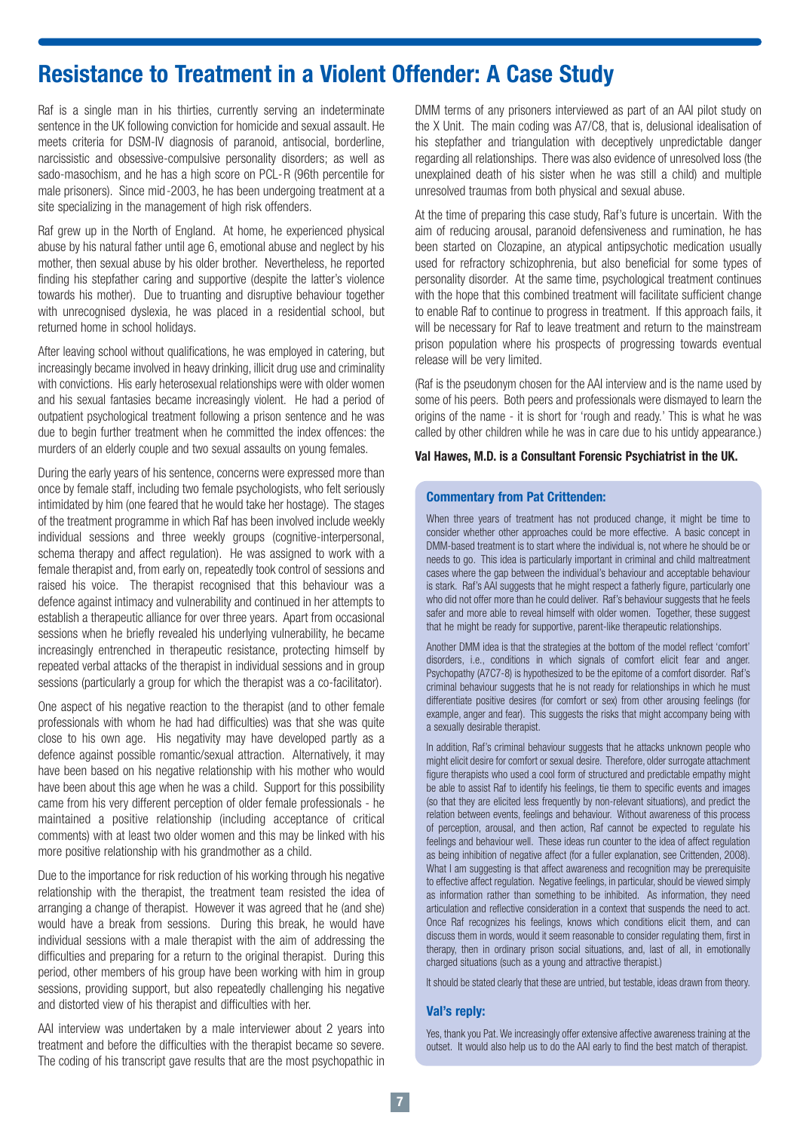# **Resistance to Treatment in a Violent Offender: A Case Study**

Raf is a single man in his thirties, currently serving an indeterminate sentence in the UK following conviction for homicide and sexual assault. He meets criteria for DSM-IV diagnosis of paranoid, antisocial, borderline, narcissistic and obsessive-compulsive personality disorders; as well as sado-masochism, and he has a high score on PCL-R (96th percentile for male prisoners). Since mid-2003, he has been undergoing treatment at a site specializing in the management of high risk offenders.

Raf grew up in the North of England. At home, he experienced physical abuse by his natural father until age 6, emotional abuse and neglect by his mother, then sexual abuse by his older brother. Nevertheless, he reported finding his stepfather caring and supportive (despite the latter's violence towards his mother). Due to truanting and disruptive behaviour together with unrecognised dyslexia, he was placed in a residential school, but returned home in school holidays.

After leaving school without qualifications, he was employed in catering, but increasingly became involved in heavy drinking, illicit drug use and criminality with convictions. His early heterosexual relationships were with older women and his sexual fantasies became increasingly violent. He had a period of outpatient psychological treatment following a prison sentence and he was due to begin further treatment when he committed the index offences: the murders of an elderly couple and two sexual assaults on young females.

During the early years of his sentence, concerns were expressed more than once by female staff, including two female psychologists, who felt seriously intimidated by him (one feared that he would take her hostage). The stages of the treatment programme in which Raf has been involved include weekly individual sessions and three weekly groups (cognitive-interpersonal, schema therapy and affect regulation). He was assigned to work with a female therapist and, from early on, repeatedly took control of sessions and raised his voice. The therapist recognised that this behaviour was a defence against intimacy and vulnerability and continued in her attempts to establish a therapeutic alliance for over three years. Apart from occasional sessions when he briefly revealed his underlying vulnerability, he became increasingly entrenched in therapeutic resistance, protecting himself by repeated verbal attacks of the therapist in individual sessions and in group sessions (particularly a group for which the therapist was a co-facilitator).

One aspect of his negative reaction to the therapist (and to other female professionals with whom he had had difficulties) was that she was quite close to his own age. His negativity may have developed partly as a defence against possible romantic/sexual attraction. Alternatively, it may have been based on his negative relationship with his mother who would have been about this age when he was a child. Support for this possibility came from his very different perception of older female professionals - he maintained a positive relationship (including acceptance of critical comments) with at least two older women and this may be linked with his more positive relationship with his grandmother as a child.

Due to the importance for risk reduction of his working through his negative relationship with the therapist, the treatment team resisted the idea of arranging a change of therapist. However it was agreed that he (and she) would have a break from sessions. During this break, he would have individual sessions with a male therapist with the aim of addressing the difficulties and preparing for a return to the original therapist. During this period, other members of his group have been working with him in group sessions, providing support, but also repeatedly challenging his negative and distorted view of his therapist and difficulties with her.

AAI interview was undertaken by a male interviewer about 2 years into treatment and before the difficulties with the therapist became so severe. The coding of his transcript gave results that are the most psychopathic in DMM terms of any prisoners interviewed as part of an AAI pilot study on the X Unit. The main coding was A7/C8, that is, delusional idealisation of his stepfather and triangulation with deceptively unpredictable danger regarding all relationships. There was also evidence of unresolved loss (the unexplained death of his sister when he was still a child) and multiple unresolved traumas from both physical and sexual abuse.

At the time of preparing this case study, Raf's future is uncertain. With the aim of reducing arousal, paranoid defensiveness and rumination, he has been started on Clozapine, an atypical antipsychotic medication usually used for refractory schizophrenia, but also beneficial for some types of personality disorder. At the same time, psychological treatment continues with the hope that this combined treatment will facilitate sufficient change to enable Raf to continue to progress in treatment. If this approach fails, it will be necessary for Raf to leave treatment and return to the mainstream prison population where his prospects of progressing towards eventual release will be very limited.

(Raf is the pseudonym chosen for the AAI interview and is the name used by some of his peers. Both peers and professionals were dismayed to learn the origins of the name - it is short for 'rough and ready.' This is what he was called by other children while he was in care due to his untidy appearance.)

### **Val Hawes, M.D. is a Consultant Forensic Psychiatrist in the UK.**

### **Commentary from Pat Crittenden:**

When three years of treatment has not produced change, it might be time to consider whether other approaches could be more effective. A basic concept in DMM-based treatment is to start where the individual is, not where he should be or needs to go. This idea is particularly important in criminal and child maltreatment cases where the gap between the individual's behaviour and acceptable behaviour is stark. Raf's AAI suggests that he might respect a fatherly figure, particularly one who did not offer more than he could deliver. Raf's behaviour suggests that he feels safer and more able to reveal himself with older women. Together, these suggest that he might be ready for supportive, parent-like therapeutic relationships.

Another DMM idea is that the strategies at the bottom of the model reflect 'comfort' disorders, i.e., conditions in which signals of comfort elicit fear and anger. Psychopathy (A7C7-8) is hypothesized to be the epitome of a comfort disorder. Raf's criminal behaviour suggests that he is not ready for relationships in which he must differentiate positive desires (for comfort or sex) from other arousing feelings (for example, anger and fear). This suggests the risks that might accompany being with a sexually desirable therapist.

In addition, Raf's criminal behaviour suggests that he attacks unknown people who might elicit desire for comfort or sexual desire. Therefore, older surrogate attachment figure therapists who used a cool form of structured and predictable empathy might be able to assist Raf to identify his feelings, tie them to specific events and images (so that they are elicited less frequently by non-relevant situations), and predict the relation between events, feelings and behaviour. Without awareness of this process of perception, arousal, and then action, Raf cannot be expected to regulate his feelings and behaviour well. These ideas run counter to the idea of affect regulation as being inhibition of negative affect (for a fuller explanation, see Crittenden, 2008). What I am suggesting is that affect awareness and recognition may be prerequisite to effective affect regulation. Negative feelings, in particular, should be viewed simply as information rather than something to be inhibited. As information, they need articulation and reflective consideration in a context that suspends the need to act. Once Raf recognizes his feelings, knows which conditions elicit them, and can discuss them in words, would it seem reasonable to consider regulating them, first in therapy, then in ordinary prison social situations, and, last of all, in emotionally charged situations (such as a young and attractive therapist.)

It should be stated clearly that these are untried, but testable, ideas drawn from theory.

### **Val's reply:**

Yes, thank you Pat. We increasingly offer extensive affective awareness training at the outset. It would also help us to do the AAI early to find the best match of therapist.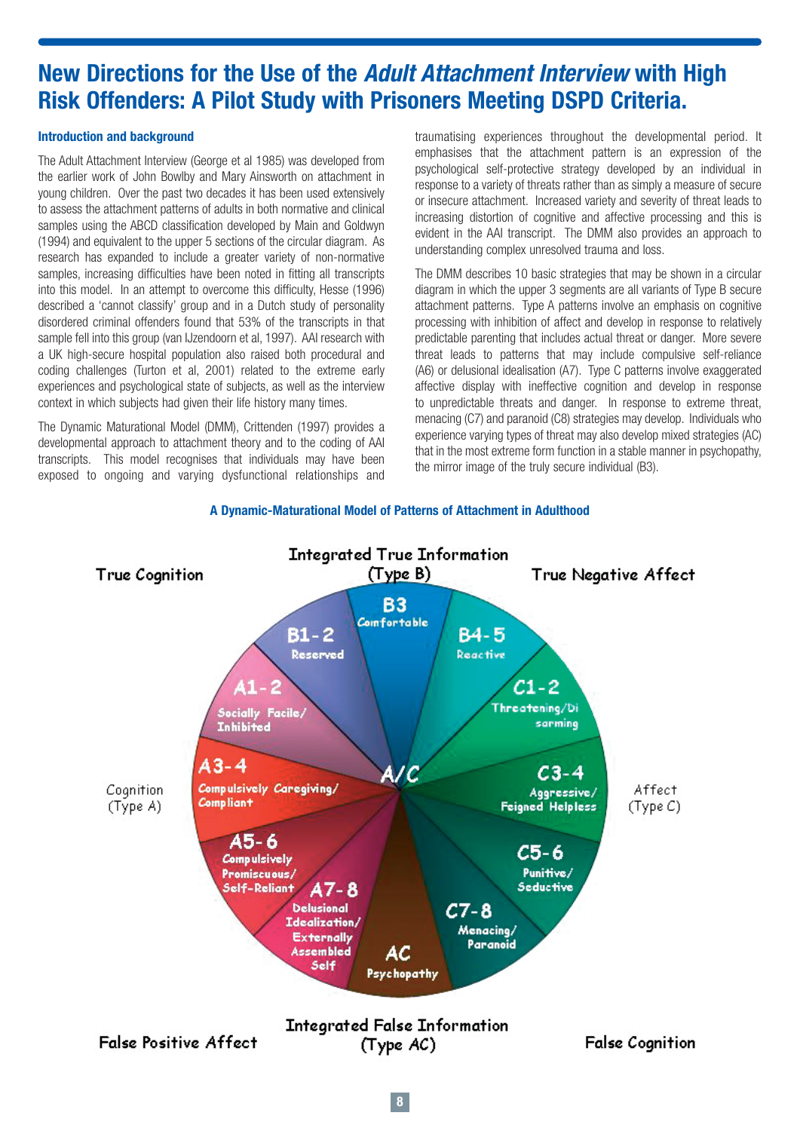# **New Directions for the Use of the Adult Attachment Interview with High Risk Offenders: A Pilot Study with Prisoners Meeting DSPD Criteria.**

## **Introduction and background**

The Adult Attachment Interview (George et al 1985) was developed from the earlier work of John Bowlby and Mary Ainsworth on attachment in young children. Over the past two decades it has been used extensively to assess the attachment patterns of adults in both normative and clinical samples using the ABCD classification developed by Main and Goldwyn (1994) and equivalent to the upper 5 sections of the circular diagram. As research has expanded to include a greater variety of non-normative samples, increasing difficulties have been noted in fitting all transcripts into this model. In an attempt to overcome this difficulty, Hesse (1996) described a 'cannot classify' group and in a Dutch study of personality disordered criminal offenders found that 53% of the transcripts in that sample fell into this group (van IJzendoorn et al, 1997). AAI research with a UK high-secure hospital population also raised both procedural and coding challenges (Turton et al, 2001) related to the extreme early experiences and psychological state of subjects, as well as the interview context in which subjects had given their life history many times.

The Dynamic Maturational Model (DMM), Crittenden (1997) provides a developmental approach to attachment theory and to the coding of AAI transcripts. This model recognises that individuals may have been exposed to ongoing and varying dysfunctional relationships and

traumatising experiences throughout the developmental period. It emphasises that the attachment pattern is an expression of the psychological self-protective strategy developed by an individual in response to a variety of threats rather than as simply a measure of secure or insecure attachment. Increased variety and severity of threat leads to increasing distortion of cognitive and affective processing and this is evident in the AAI transcript. The DMM also provides an approach to understanding complex unresolved trauma and loss.

The DMM describes 10 basic strategies that may be shown in a circular diagram in which the upper 3 segments are all variants of Type B secure attachment patterns. Type A patterns involve an emphasis on cognitive processing with inhibition of affect and develop in response to relatively predictable parenting that includes actual threat or danger. More severe threat leads to patterns that may include compulsive self-reliance (A6) or delusional idealisation (A7). Type C patterns involve exaggerated affective display with ineffective cognition and develop in response to unpredictable threats and danger. In response to extreme threat, menacing (C7) and paranoid (C8) strategies may develop. Individuals who experience varying types of threat may also develop mixed strategies (AC) that in the most extreme form function in a stable manner in psychopathy, the mirror image of the truly secure individual (B3).



### **A Dynamic-Maturational Model of Patterns of Attachment in Adulthood**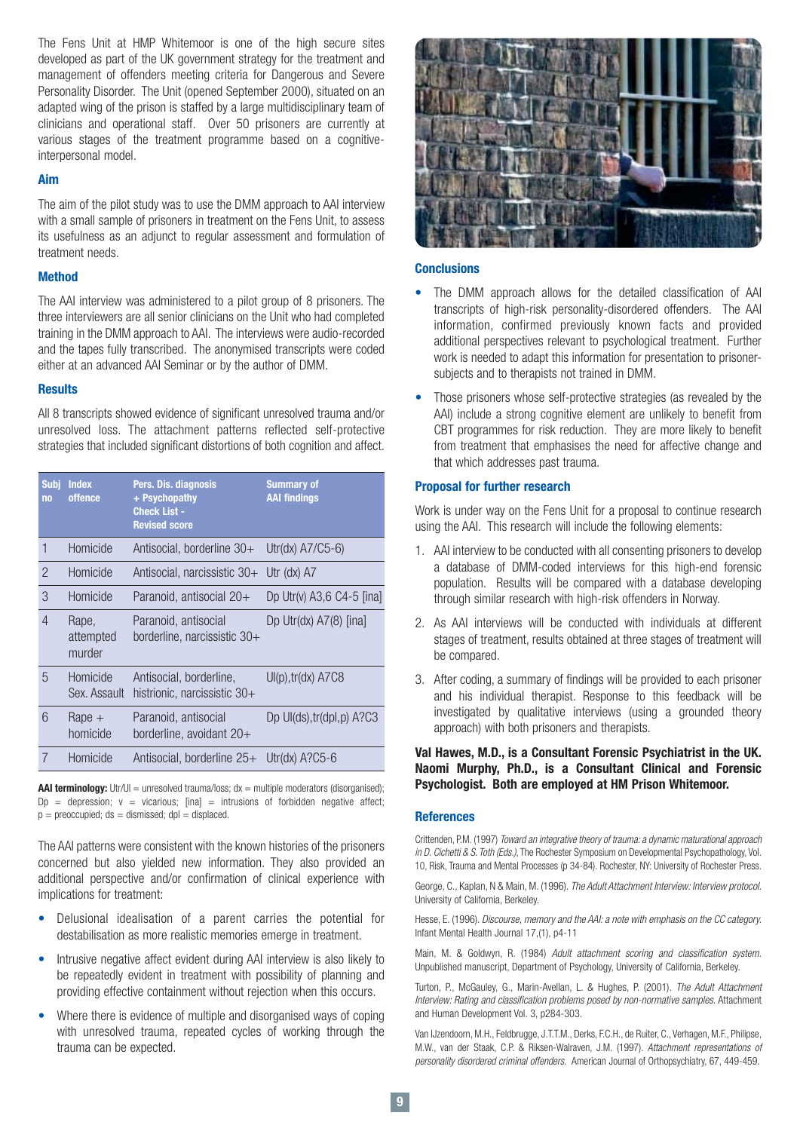The Fens Unit at HMP Whitemoor is one of the high secure sites developed as part of the UK government strategy for the treatment and management of offenders meeting criteria for Dangerous and Severe Personality Disorder. The Unit (opened September 2000), situated on an adapted wing of the prison is staffed by a large multidisciplinary team of clinicians and operational staff. Over 50 prisoners are currently at various stages of the treatment programme based on a cognitiveinterpersonal model.

### **Aim**

The aim of the pilot study was to use the DMM approach to AAI interview with a small sample of prisoners in treatment on the Fens Unit, to assess its usefulness as an adjunct to regular assessment and formulation of treatment needs.

### **Method**

The AAI interview was administered to a pilot group of 8 prisoners. The three interviewers are all senior clinicians on the Unit who had completed training in the DMM approach to AAI. The interviews were audio-recorded and the tapes fully transcribed. The anonymised transcripts were coded either at an advanced AAI Seminar or by the author of DMM.

### **Results**

All 8 transcripts showed evidence of significant unresolved trauma and/or unresolved loss. The attachment patterns reflected self-protective strategies that included significant distortions of both cognition and affect.

| <b>Subj</b><br>n <sub>0</sub> | <b>Index</b><br>offence      | Pers. Dis. diagnosis<br>+ Psychopathy<br><b>Check List -</b><br><b>Revised score</b> | <b>Summary of</b><br><b>AAI findings</b> |
|-------------------------------|------------------------------|--------------------------------------------------------------------------------------|------------------------------------------|
| 1                             | Homicide                     | Antisocial, borderline 30+                                                           | Utr(dx) $A7/C5-6$ )                      |
| $\mathcal{P}$                 | Homicide                     | Antisocial, narcissistic 30+                                                         | Utr (dx) A7                              |
| 3                             | Homicide                     | Paranoid, antisocial 20+                                                             | Dp Utr(v) $A3,6$ C4-5 [ina]              |
| $\overline{4}$                | Rape,<br>attempted<br>murder | Paranoid, antisocial<br>borderline, narcissistic 30+                                 | Dp Utr(dx) $A7(8)$ [ina]                 |
| 5                             | Homicide<br>Sex. Assault     | Antisocial, borderline,<br>histrionic, narcissistic $30+$                            | $Ul(p)$ , tr(dx) $A7C8$                  |
| 6                             | $Rape +$<br>homicide         | Paranoid, antisocial<br>borderline, avoidant 20+                                     | Dp UI(ds), tr(dpI, p) A?C3               |
|                               | Homicide                     | Antisocial, borderline 25+                                                           | Utr( $dx$ ) A?C5-6                       |

**AAI terminology:** Utr/UI = unresolved trauma/loss: dx = multiple moderators (disorganised):  $Dp =$  depression;  $v =$  vicarious; [ina] = intrusions of forbidden negative affect;  $p =$  preoccupied; ds = dismissed; dpl = displaced.

The AAI patterns were consistent with the known histories of the prisoners concerned but also yielded new information. They also provided an additional perspective and/or confirmation of clinical experience with implications for treatment:

- Delusional idealisation of a parent carries the potential for destabilisation as more realistic memories emerge in treatment.
- Intrusive negative affect evident during AAI interview is also likely to be repeatedly evident in treatment with possibility of planning and providing effective containment without rejection when this occurs.
- Where there is evidence of multiple and disorganised ways of coping with unresolved trauma, repeated cycles of working through the trauma can be expected.



### **Conclusions**

- The DMM approach allows for the detailed classification of AAI transcripts of high-risk personality-disordered offenders. The AAI information, confirmed previously known facts and provided additional perspectives relevant to psychological treatment. Further work is needed to adapt this information for presentation to prisonersubjects and to therapists not trained in DMM.
- Those prisoners whose self-protective strategies (as revealed by the AAI) include a strong cognitive element are unlikely to benefit from CBT programmes for risk reduction. They are more likely to benefit from treatment that emphasises the need for affective change and that which addresses past trauma.

### **Proposal for further research**

Work is under way on the Fens Unit for a proposal to continue research using the AAI. This research will include the following elements:

- 1. AAI interview to be conducted with all consenting prisoners to develop a database of DMM-coded interviews for this high-end forensic population. Results will be compared with a database developing through similar research with high-risk offenders in Norway.
- 2. As AAI interviews will be conducted with individuals at different stages of treatment, results obtained at three stages of treatment will be compared.
- 3. After coding, a summary of findings will be provided to each prisoner and his individual therapist. Response to this feedback will be investigated by qualitative interviews (using a grounded theory approach) with both prisoners and therapists.

## **Val Hawes, M.D., is a Consultant Forensic Psychiatrist in the UK. Naomi Murphy, Ph.D., is a Consultant Clinical and Forensic Psychologist. Both are employed at HM Prison Whitemoor.**

### **References**

Crittenden, P.M. (1997) Toward an integrative theory of trauma: a dynamic maturational approach in D. Cichetti & S. Toth (Eds.), The Rochester Symposium on Developmental Psychopathology, Vol. 10, Risk, Trauma and Mental Processes (p 34-84). Rochester, NY: University of Rochester Press.

George, C., Kaplan, N & Main, M. (1996). The Adult Attachment Interview: Interview protocol. University of California, Berkeley.

Hesse, E. (1996). Discourse, memory and the AAI: a note with emphasis on the CC category. Infant Mental Health Journal 17,(1), p4-11

Main, M. & Goldwyn, R. (1984) Adult attachment scoring and classification system. Unpublished manuscript, Department of Psychology, University of California, Berkeley.

Turton, P., McGauley, G., Marin-Avellan, L. & Hughes, P. (2001). The Adult Attachment Interview: Rating and classification problems posed by non-normative samples. Attachment and Human Development Vol. 3, p284-303.

Van IJzendoorn, M.H., Feldbrugge, J.T.T.M., Derks, F.C.H., de Ruiter, C., Verhagen, M.F., Philipse, M.W., van der Staak, C.P. & Riksen-Walraven, J.M. (1997). Attachment representations of personality disordered criminal offenders. American Journal of Orthopsychiatry, 67, 449-459.